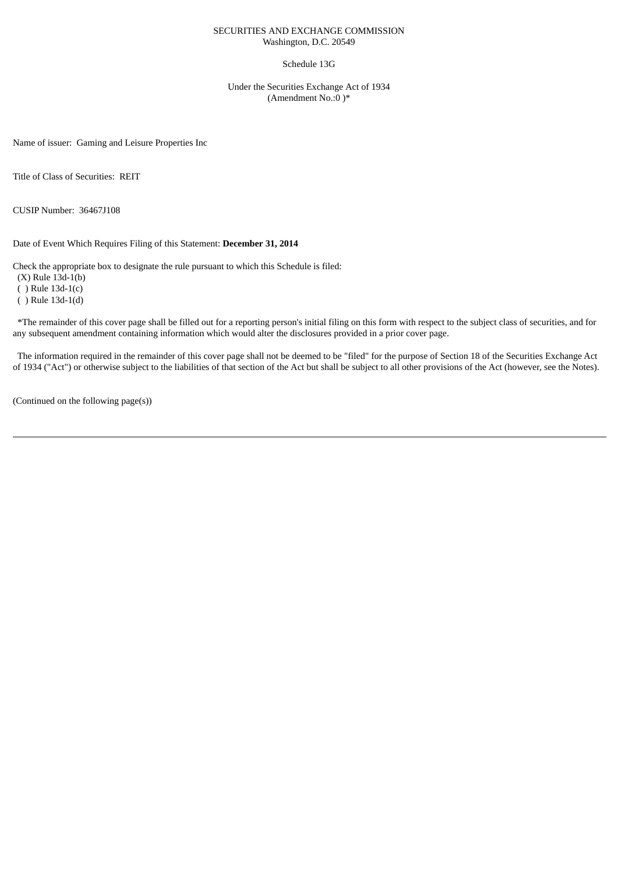#### SECURITIES AND EXCHANGE COMMISSION Washington, D.C. 20549

#### Schedule 13G

Under the Securities Exchange Act of 1934 (Amendment No.:0 )\*

Name of issuer: Gaming and Leisure Properties Inc

Title of Class of Securities: REIT

CUSIP Number: 36467J108

Date of Event Which Requires Filing of this Statement: **December 31, 2014**

Check the appropriate box to designate the rule pursuant to which this Schedule is filed:

(X) Rule 13d-1(b)

( ) Rule 13d-1(c)

( ) Rule 13d-1(d)

\*The remainder of this cover page shall be filled out for a reporting person's initial filing on this form with respect to the subject class of securities, and for any subsequent amendment containing information which would alter the disclosures provided in a prior cover page.

The information required in the remainder of this cover page shall not be deemed to be "filed" for the purpose of Section 18 of the Securities Exchange Act of 1934 ("Act") or otherwise subject to the liabilities of that section of the Act but shall be subject to all other provisions of the Act (however, see the Notes).

(Continued on the following page(s))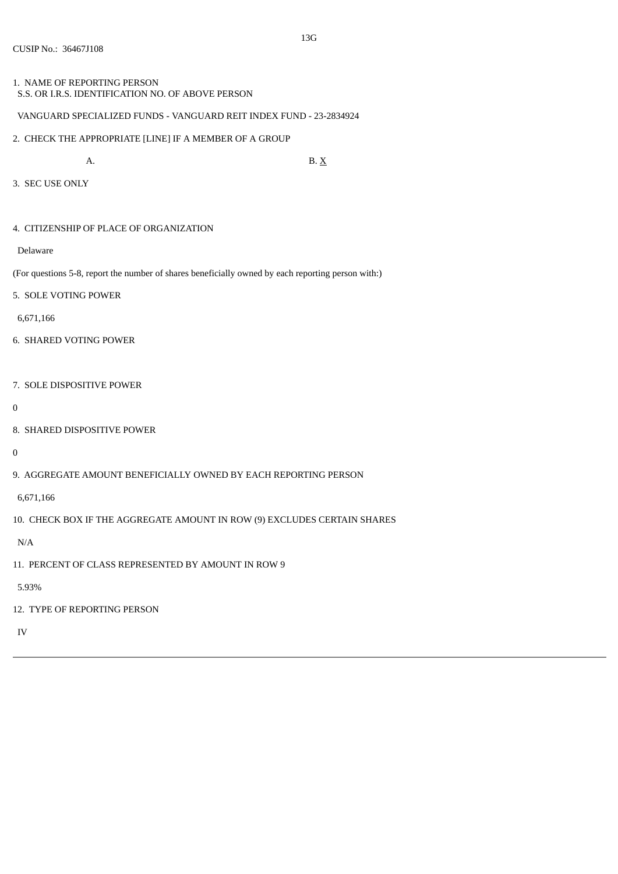# 1. NAME OF REPORTING PERSON

S.S. OR I.R.S. IDENTIFICATION NO. OF ABOVE PERSON

## VANGUARD SPECIALIZED FUNDS - VANGUARD REIT INDEX FUND - 23-2834924

2. CHECK THE APPROPRIATE [LINE] IF A MEMBER OF A GROUP

A. B.  $X$ 

3. SEC USE ONLY

## 4. CITIZENSHIP OF PLACE OF ORGANIZATION

Delaware

(For questions 5-8, report the number of shares beneficially owned by each reporting person with:)

5. SOLE VOTING POWER

6,671,166

- 6. SHARED VOTING POWER
- 7. SOLE DISPOSITIVE POWER

0

8. SHARED DISPOSITIVE POWER

 $\theta$ 

9. AGGREGATE AMOUNT BENEFICIALLY OWNED BY EACH REPORTING PERSON

6,671,166

10. CHECK BOX IF THE AGGREGATE AMOUNT IN ROW (9) EXCLUDES CERTAIN SHARES

N/A

11. PERCENT OF CLASS REPRESENTED BY AMOUNT IN ROW 9

5.93%

12. TYPE OF REPORTING PERSON

IV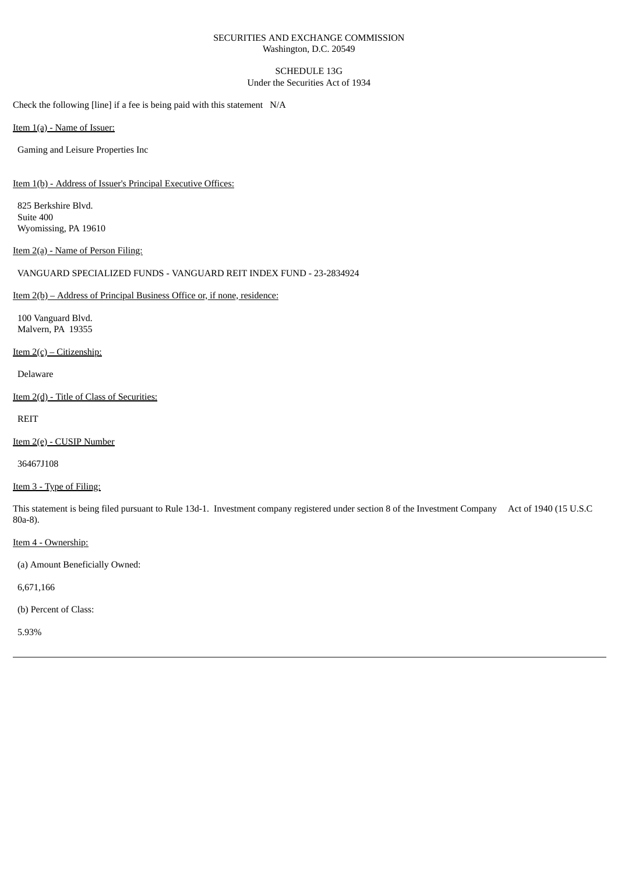#### SECURITIES AND EXCHANGE COMMISSION Washington, D.C. 20549

## SCHEDULE 13G Under the Securities Act of 1934

Check the following [line] if a fee is being paid with this statement N/A

Item 1(a) - Name of Issuer:

Gaming and Leisure Properties Inc

Item 1(b) - Address of Issuer's Principal Executive Offices:

825 Berkshire Blvd. Suite 400 Wyomissing, PA 19610

Item 2(a) - Name of Person Filing:

## VANGUARD SPECIALIZED FUNDS - VANGUARD REIT INDEX FUND - 23-2834924

Item 2(b) – Address of Principal Business Office or, if none, residence:

100 Vanguard Blvd. Malvern, PA 19355

Item  $2(c)$  – Citizenship:

Delaware

Item 2(d) - Title of Class of Securities:

REIT

Item 2(e) - CUSIP Number

36467J108

Item 3 - Type of Filing:

This statement is being filed pursuant to Rule 13d-1. Investment company registered under section 8 of the Investment Company Act of 1940 (15 U.S.C 80a-8).

Item 4 - Ownership:

(a) Amount Beneficially Owned:

6,671,166

(b) Percent of Class:

5.93%